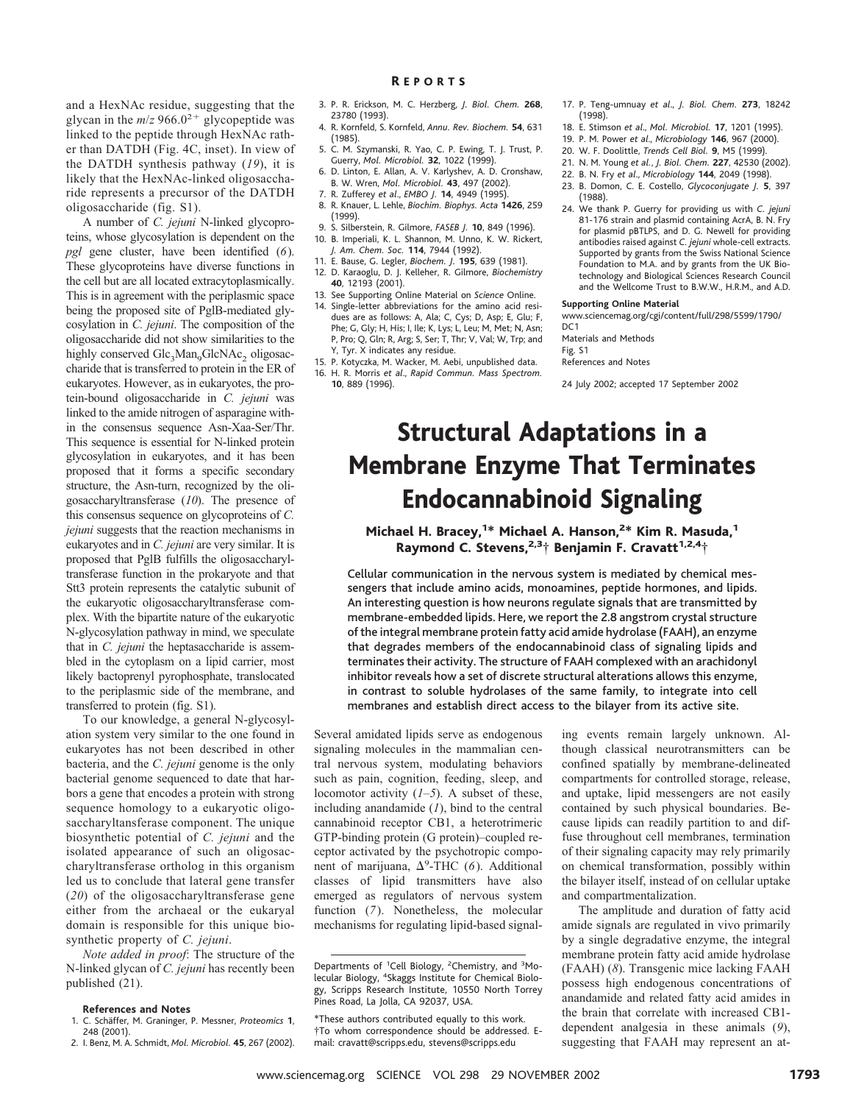and a HexNAc residue, suggesting that the glycan in the  $m/z$  966.0<sup>2+</sup> glycopeptide was linked to the peptide through HexNAc rather than DATDH (Fig. 4C, inset). In view of the DATDH synthesis pathway (*19*), it is likely that the HexNAc-linked oligosaccharide represents a precursor of the DATDH oligosaccharide (fig. S1).

A number of *C. jejuni* N-linked glycoproteins, whose glycosylation is dependent on the *pgl* gene cluster, have been identified (*6*). These glycoproteins have diverse functions in the cell but are all located extracytoplasmically. This is in agreement with the periplasmic space being the proposed site of PglB-mediated glycosylation in *C. jejuni*. The composition of the oligosaccharide did not show similarities to the highly conserved Glc<sub>3</sub>Man<sub>9</sub>GlcNAc<sub>2</sub> oligosaccharide that is transferred to protein in the ER of eukaryotes. However, as in eukaryotes, the protein-bound oligosaccharide in *C. jejuni* was linked to the amide nitrogen of asparagine within the consensus sequence Asn-Xaa-Ser/Thr. This sequence is essential for N-linked protein glycosylation in eukaryotes, and it has been proposed that it forms a specific secondary structure, the Asn-turn, recognized by the oligosaccharyltransferase (*10*). The presence of this consensus sequence on glycoproteins of *C. jejuni* suggests that the reaction mechanisms in eukaryotes and in *C. jejuni* are very similar. It is proposed that PglB fulfills the oligosaccharyltransferase function in the prokaryote and that Stt3 protein represents the catalytic subunit of the eukaryotic oligosaccharyltransferase complex. With the bipartite nature of the eukaryotic N-glycosylation pathway in mind, we speculate that in *C. jejuni* the heptasaccharide is assembled in the cytoplasm on a lipid carrier, most likely bactoprenyl pyrophosphate, translocated to the periplasmic side of the membrane, and transferred to protein (fig. S1).

To our knowledge, a general N-glycosylation system very similar to the one found in eukaryotes has not been described in other bacteria, and the *C. jejuni* genome is the only bacterial genome sequenced to date that harbors a gene that encodes a protein with strong sequence homology to a eukaryotic oligosaccharyltansferase component. The unique biosynthetic potential of *C. jejuni* and the isolated appearance of such an oligosaccharyltransferase ortholog in this organism led us to conclude that lateral gene transfer (*20*) of the oligosaccharyltransferase gene either from the archaeal or the eukaryal domain is responsible for this unique biosynthetic property of *C. jejuni*.

*Note added in proof*: The structure of the N-linked glycan of *C. jejuni* has recently been published (21).

# **References and Notes**

- 1. C. Scha¨ffer, M. Graninger, P. Messner, *Proteomics* **1**, 248 (2001).
- 2. I. Benz, M. A. Schmidt, *Mol. Microbiol.* **45**, 267 (2002).
- 3. P. R. Erickson, M. C. Herzberg, *J. Biol. Chem.* **268**, 23780 (1993).
- 4. R. Kornfeld, S. Kornfeld, *Annu. Rev. Biochem.* **54**, 631 (1985).
- 5. C. M. Szymanski, R. Yao, C. P. Ewing, T. J. Trust, P. Guerry, *Mol. Microbiol.* **32**, 1022 (1999).
- 6. D. Linton, E. Allan, A. V. Karlyshev, A. D. Cronshaw, B. W. Wren, *Mol. Microbiol.* **43**, 497 (2002).
- 7. R. Zufferey *et al*., *EMBO J.* **14**, 4949 (1995).
- 8. R. Knauer, L. Lehle, *Biochim. Biophys. Acta* **1426**, 259 (1999).
- 9. S. Silberstein, R. Gilmore, *FASEB J.* **10**, 849 (1996). 10. B. Imperiali, K. L. Shannon, M. Unno, K. W. Rickert,
- *J. Am. Chem. Soc.* **114**, 7944 (1992).
- 11. E. Bause, G. Legler, *Biochem. J.* **195**, 639 (1981). 12. D. Karaoglu, D. J. Kelleher, R. Gilmore, *Biochemistry* **40**, 12193 (2001).
- 13. See Supporting Online Material on *Science* Online. 14. Single-letter abbreviations for the amino acid resi-
- dues are as follows: A, Ala; C, Cys; D, Asp; E, Glu; F, Phe; G, Gly; H, His; I, Ile; K, Lys; L, Leu; M, Met; N, Asn; P, Pro; Q, Gln; R, Arg; S, Ser; T, Thr; V, Val; W, Trp; and Y, Tyr. X indicates any residue.
- 15. P. Kotyczka, M. Wacker, M. Aebi, unpublished data. 16. H. R. Morris *et al*., *Rapid Commun. Mass Spectrom.* **10**, 889 (1996).
- 17. P. Teng-umnuay *et al*., *J. Biol. Chem.* **273**, 18242 (1998).
- 18. E. Stimson *et al*., *Mol. Microbiol.* **17**, 1201 (1995).
- 19. P. M. Power *et al*., *Microbiology* **146**, 967 (2000).
- 20. W. F. Doolittle, *Trends Cell Biol.* **9**, M5 (1999).
- 21. N. M. Young *et al.*, *J. Biol. Chem.* **227**, 42530 (2002).
- 22. B. N. Fry *et al*., *Microbiology* **144**, 2049 (1998).
- 23. B. Domon, C. E. Costello, *Glycoconjugate J.* **5**, 397 (1988).
- 24. We thank P. Guerry for providing us with *C. jejuni* 81-176 strain and plasmid containing AcrA, B. N. Fry for plasmid pBTLPS, and D. G. Newell for providing antibodies raised against *C. jejuni* whole-cell extracts. Supported by grants from the Swiss National Science Foundation to M.A. and by grants from the UK Biotechnology and Biological Sciences Research Council and the Wellcome Trust to B.W.W., H.R.M., and A.D.

### **Supporting Online Material**

www.sciencemag.org/cgi/content/full/298/5599/1790/  $DC1$ 

Materials and Methods Fig. S1 References and Notes

24 July 2002; accepted 17 September 2002

# Structural Adaptations in a Membrane Enzyme That Terminates Endocannabinoid Signaling

Michael H. Bracey,<sup>1\*</sup> Michael A. Hanson,<sup>2\*</sup> Kim R. Masuda,<sup>1</sup> Raymond C. Stevens,<sup>2,3</sup>† Benjamin F. Cravatt<sup>1,2,4</sup>†

Cellular communication in the nervous system is mediated by chemical messengers that include amino acids, monoamines, peptide hormones, and lipids. An interesting question is how neurons regulate signals that are transmitted by membrane-embedded lipids. Here, we report the 2.8 angstrom crystal structure of the integral membrane protein fatty acid amide hydrolase (FAAH), an enzyme that degrades members of the endocannabinoid class of signaling lipids and terminates their activity. The structure of FAAH complexed with an arachidonyl inhibitor reveals how a set of discrete structural alterations allows this enzyme, in contrast to soluble hydrolases of the same family, to integrate into cell membranes and establish direct access to the bilayer from its active site.

Several amidated lipids serve as endogenous signaling molecules in the mammalian central nervous system, modulating behaviors such as pain, cognition, feeding, sleep, and locomotor activity (*1–5*). A subset of these, including anandamide (*1*), bind to the central cannabinoid receptor CB1, a heterotrimeric GTP-binding protein (G protein)–coupled receptor activated by the psychotropic component of marijuana,  $\Delta^9$ -THC (6). Additional classes of lipid transmitters have also emerged as regulators of nervous system function (*7*). Nonetheless, the molecular mechanisms for regulating lipid-based signaling events remain largely unknown. Although classical neurotransmitters can be confined spatially by membrane-delineated compartments for controlled storage, release, and uptake, lipid messengers are not easily contained by such physical boundaries. Because lipids can readily partition to and diffuse throughout cell membranes, termination of their signaling capacity may rely primarily on chemical transformation, possibly within the bilayer itself, instead of on cellular uptake and compartmentalization.

The amplitude and duration of fatty acid amide signals are regulated in vivo primarily by a single degradative enzyme, the integral membrane protein fatty acid amide hydrolase (FAAH) (*8*). Transgenic mice lacking FAAH possess high endogenous concentrations of anandamide and related fatty acid amides in the brain that correlate with increased CB1 dependent analgesia in these animals (*9*), suggesting that FAAH may represent an at-

Departments of <sup>1</sup>Cell Biology, <sup>2</sup>Chemistry, and <sup>3</sup>Molecular Biology, <sup>4</sup> Skaggs Institute for Chemical Biology, Scripps Research Institute, 10550 North Torrey Pines Road, La Jolla, CA 92037, USA.

<sup>\*</sup>These authors contributed equally to this work. †To whom correspondence should be addressed. Email: cravatt@scripps.edu, stevens@scripps.edu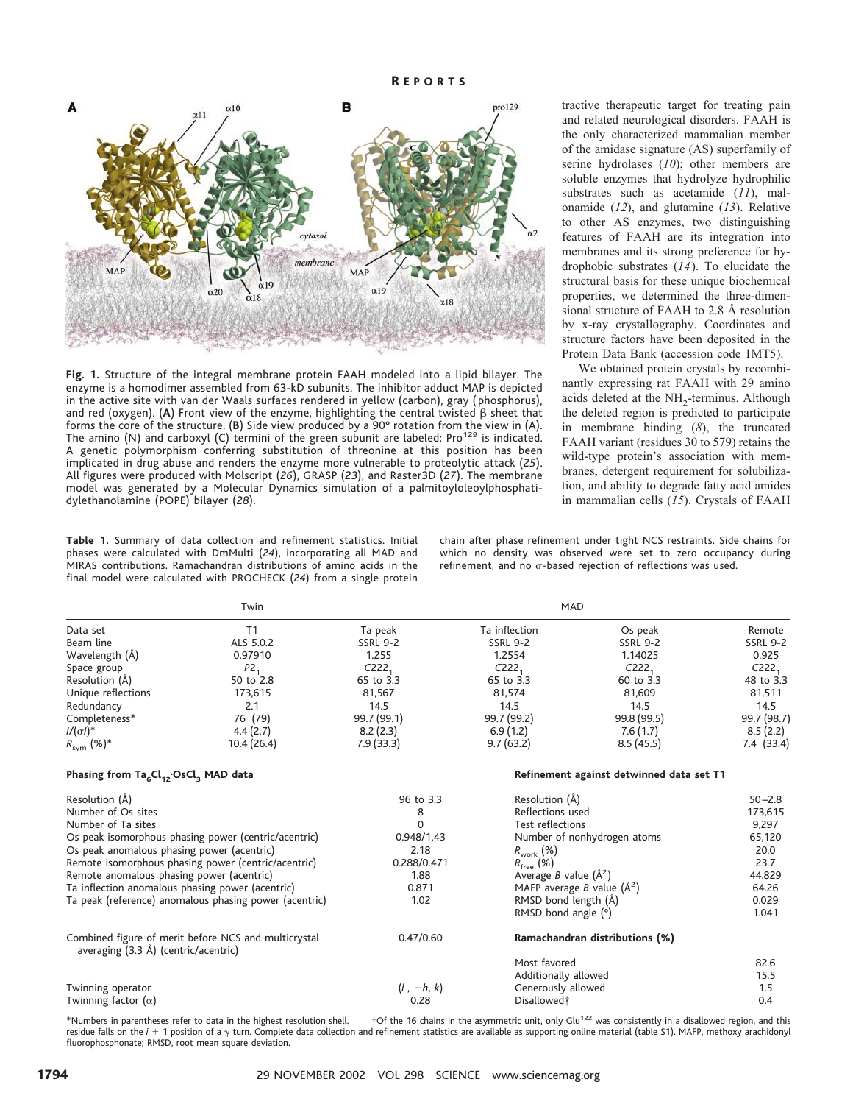R EPORTS



**Fig.1.** Structure of the integral membrane protein FAAH modeled into a lipid bilayer. The enzyme is a homodimer assembled from 63-kD subunits. The inhibitor adduct MAP is depicted in the active site with van der Waals surfaces rendered in yellow (carbon), gray ( phosphorus), and red (oxygen). (A) Front view of the enzyme, highlighting the central twisted  $\beta$  sheet that forms the core of the structure. (**B**) Side view produced by a 90° rotation from the view in (A). The amino (N) and carboxyl (C) termini of the green subunit are labeled; Pro<sup>129</sup> is indicated. A genetic polymorphism conferring substitution of threonine at this position has been implicated in drug abuse and renders the enzyme more vulnerable to proteolytic attack (*25*). All figures were produced with Molscript (*26*), GRASP (*23*), and Raster3D (*27*). The membrane model was generated by a Molecular Dynamics simulation of a palmitoyloleoylphosphatidylethanolamine (POPE) bilayer (*28*).

tractive therapeutic target for treating pain and related neurological disorders. FAAH is the only characterized mammalian member of the amidase signature (AS) superfamily of serine hydrolases (*10*); other members are soluble enzymes that hydrolyze hydrophilic substrates such as acetamide (*11*), malonamide (*12*), and glutamine (*13*). Relative to other AS enzymes, two distinguishing features of FAAH are its integration into membranes and its strong preference for hydrophobic substrates (*14*). To elucidate the structural basis for these unique biochemical properties, we determined the three-dimensional structure of FAAH to 2.8 Å resolution by x-ray crystallography. Coordinates and structure factors have been deposited in the Protein Data Bank (accession code 1MT5).

We obtained protein crystals by recombinantly expressing rat FAAH with 29 amino acids deleted at the NH<sub>2</sub>-terminus. Although the deleted region is predicted to participate in membrane binding (*8*), the truncated FAAH variant (residues 30 to 579) retains the wild-type protein's association with membranes, detergent requirement for solubilization, and ability to degrade fatty acid amides in mammalian cells (*15*). Crystals of FAAH

**Table 1.** Summary of data collection and refinement statistics. Initial phases were calculated with DmMulti (*24*), incorporating all MAD and MIRAS contributions. Ramachandran distributions of amino acids in the final model were calculated with PROCHECK (*24*) from a single protein chain after phase refinement under tight NCS restraints. Side chains for which no density was observed were set to zero occupancy during refinement, and no  $\sigma$ -based rejection of reflections was used.

|                                                                                              | Twin            | <b>MAD</b>                               |                                       |                                |                   |
|----------------------------------------------------------------------------------------------|-----------------|------------------------------------------|---------------------------------------|--------------------------------|-------------------|
| Data set                                                                                     | T1              | Ta peak                                  | Ta inflection                         | Os peak                        | Remote            |
| Beam line                                                                                    | ALS 5.0.2       | <b>SSRL 9-2</b>                          | <b>SSRL 9-2</b>                       | <b>SSRL 9-2</b>                | <b>SSRL 9-2</b>   |
| Wavelength (Å)                                                                               | 0.97910         | 1.255                                    | 1.2554                                | 1.14025                        | 0.925             |
| Space group                                                                                  | P2 <sub>1</sub> | C222 <sub>1</sub>                        | C222 <sub>1</sub>                     | C222 <sub>1</sub>              | C222 <sub>1</sub> |
| Resolution (Å)                                                                               | 50 to 2.8       | 65 to 3.3                                | 65 to 3.3                             | 60 to 3.3                      | 48 to 3.3         |
| Unique reflections                                                                           | 173,615         | 81,567                                   | 81,574                                | 81,609                         | 81,511            |
| Redundancy                                                                                   | 2.1             | 14.5                                     | 14.5                                  | 14.5                           | 14.5              |
| Completeness*                                                                                | 76 (79)         | 99.7 (99.1)                              | 99.7 (99.2)                           | 99.8 (99.5)                    | 99.7 (98.7)       |
| $1/(\sigma I)^*$                                                                             | 4.4(2.7)        | 8.2(2.3)                                 | 6.9(1.2)                              | 7.6(1.7)                       | 8.5(2.2)          |
| $R_{sym}$ (%)*                                                                               | 10.4(26.4)      | 7.9(33.3)                                | 9.7(63.2)                             | 8.5(45.5)                      | 7.4 (33.4)        |
| Phasing from $Ta_{6}Cl_{12}$ . OsCl <sub>3</sub> MAD data                                    |                 | Refinement against detwinned data set T1 |                                       |                                |                   |
| Resolution (Å)                                                                               |                 | 96 to 3.3                                | Resolution (Å)                        |                                | $50 - 2.8$        |
| Number of Os sites                                                                           |                 | 8                                        | Reflections used                      |                                | 173,615           |
| Number of Ta sites                                                                           |                 | $\mathbf 0$                              | Test reflections                      |                                | 9,297             |
| Os peak isomorphous phasing power (centric/acentric)                                         |                 | 0.948/1.43                               | Number of nonhydrogen atoms           |                                | 65,120            |
| Os peak anomalous phasing power (acentric)                                                   |                 | 2.18                                     | $R_{\text{work}}(\%)$                 |                                | 20.0              |
| Remote isomorphous phasing power (centric/acentric)                                          |                 | 0.288/0.471                              | $R_{\text{free}}$ (%)                 |                                | 23.7              |
| Remote anomalous phasing power (acentric)                                                    |                 | 1.88                                     | Average <i>B</i> value $(\AA^2)$      |                                | 44.829            |
| Ta inflection anomalous phasing power (acentric)                                             |                 | 0.871                                    | MAFP average <i>B</i> value $(\AA^2)$ |                                | 64.26             |
| Ta peak (reference) anomalous phasing power (acentric)                                       |                 | 1.02                                     | RMSD bond length (Å)                  |                                | 0.029             |
|                                                                                              |                 |                                          | RMSD bond angle (°)                   |                                | 1.041             |
| Combined figure of merit before NCS and multicrystal<br>averaging (3.3 Å) (centric/acentric) |                 | 0.47/0.60                                |                                       | Ramachandran distributions (%) |                   |
|                                                                                              |                 |                                          | Most favored                          |                                | 82.6              |
|                                                                                              |                 |                                          | Additionally allowed                  |                                | 15.5              |
| Twinning operator                                                                            |                 | $(l, -h, k)$                             | Generously allowed                    |                                | 1.5               |
| Twinning factor $(\alpha)$                                                                   |                 | 0.28                                     | Disallowed†                           |                                | 0.4               |
|                                                                                              |                 |                                          |                                       |                                |                   |

\*Numbers in parentheses refer to data in the highest resolution shell. †Of the 16 chains in the asymmetric unit, only Glu<sup>122</sup> was consistently in a disallowed region, and this residue falls on the *i* + 1 position of a  $\gamma$  turn. Complete data collection and refinement statistics are available as supporting online material (table S1). MAFP, methoxy arachidonyl fluorophosphonate; RMSD, root mean square deviation.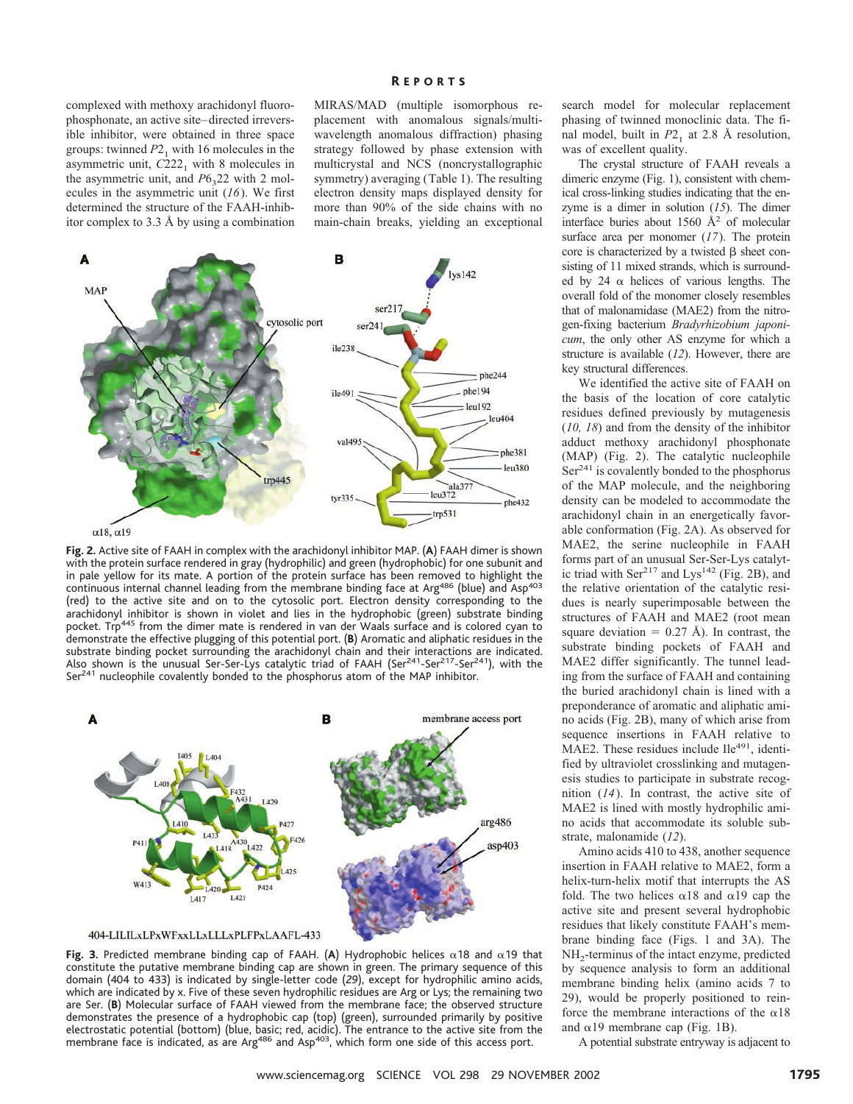# R EPORTS

complexed with methoxy arachidonyl fluorophosphonate, an active site–directed irreversible inhibitor, were obtained in three space groups: twinned  $P2<sub>1</sub>$  with 16 molecules in the asymmetric unit,  $C222<sub>1</sub>$  with 8 molecules in the asymmetric unit, and  $P6<sub>3</sub>22$  with 2 molecules in the asymmetric unit (*16*). We first determined the structure of the FAAH-inhibitor complex to 3.3 Å by using a combination MIRAS/MAD (multiple isomorphous replacement with anomalous signals/multiwavelength anomalous diffraction) phasing strategy followed by phase extension with multicrystal and NCS (noncrystallographic symmetry) averaging (Table 1). The resulting electron density maps displayed density for more than 90% of the side chains with no main-chain breaks, yielding an exceptional



**Fig.2.** Active site of FAAH in complex with the arachidonyl inhibitor MAP. (**A**) FAAH dimer is shown with the protein surface rendered in gray (hydrophilic) and green (hydrophobic) for one subunit and in pale yellow for its mate. A portion of the protein surface has been removed to highlight the continuous internal channel leading from the membrane binding face at Arg<sup>486</sup> (blue) and Asp<sup>403</sup> (red) to the active site and on to the cytosolic port. Electron density corresponding to the arachidonyl inhibitor is shown in violet and lies in the hydrophobic (green) substrate binding pocket. Trp<sup>445</sup> from the dimer mate is rendered in van der Waals surface and is colored cyan to demonstrate the effective plugging of this potential port. (**B**) Aromatic and aliphatic residues in the substrate binding pocket surrounding the arachidonyl chain and their interactions are indicated. Also shown is the unusual Ser-Ser-Lys catalytic triad of FAAH (Ser<sup>241</sup>-Ser<sup>217</sup>-Ser<sup>241</sup>), with the Ser<sup>241</sup> nucleophile covalently bonded to the phosphorus atom of the MAP inhibitor.



**Fig. 3.** Predicted membrane binding cap of FAAH. (A) Hydrophobic helices  $\alpha$ 18 and  $\alpha$ 19 that constitute the putative membrane binding cap are shown in green. The primary sequence of this domain (404 to 433) is indicated by single-letter code (29), except for hydrophilic amino acids, which are indicated by x. Five of these seven hydrophilic residues are Arg or Lys; the remaining two are Ser. (**B**) Molecular surface of FAAH viewed from the membrane face; the observed structure demonstrates the presence of a hydrophobic cap (top) (green), surrounded primarily by positive electrostatic potential (bottom) (blue, basic; red, acidic). The entrance to the active site from the membrane face is indicated, as are Arg<sup>486</sup> and Asp<sup>403</sup>, which form one side of this access port.

search model for molecular replacement phasing of twinned monoclinic data. The final model, built in  $P2<sub>1</sub>$  at 2.8 Å resolution, was of excellent quality.

The crystal structure of FAAH reveals a dimeric enzyme (Fig. 1), consistent with chemical cross-linking studies indicating that the enzyme is a dimer in solution (*15*). The dimer interface buries about 1560 Å2 of molecular surface area per monomer (*17*). The protein core is characterized by a twisted  $\beta$  sheet consisting of 11 mixed strands, which is surrounded by 24  $\alpha$  helices of various lengths. The overall fold of the monomer closely resembles that of malonamidase (MAE2) from the nitrogen-fixing bacterium *Bradyrhizobium japonicum*, the only other AS enzyme for which a structure is available (*12*). However, there are key structural differences.

We identified the active site of FAAH on the basis of the location of core catalytic residues defined previously by mutagenesis (*10, 18*) and from the density of the inhibitor adduct methoxy arachidonyl phosphonate (MAP) (Fig. 2). The catalytic nucleophile Ser241 is covalently bonded to the phosphorus of the MAP molecule, and the neighboring density can be modeled to accommodate the arachidonyl chain in an energetically favorable conformation (Fig. 2A). As observed for MAE2, the serine nucleophile in FAAH forms part of an unusual Ser-Ser-Lys catalytic triad with Ser<sup>217</sup> and Lys<sup>142</sup> (Fig. 2B), and the relative orientation of the catalytic residues is nearly superimposable between the structures of FAAH and MAE2 (root mean square deviation  $= 0.27$  Å). In contrast, the substrate binding pockets of FAAH and MAE2 differ significantly. The tunnel leading from the surface of FAAH and containing the buried arachidonyl chain is lined with a preponderance of aromatic and aliphatic amino acids (Fig. 2B), many of which arise from sequence insertions in FAAH relative to MAE2. These residues include Ile<sup>491</sup>, identified by ultraviolet crosslinking and mutagenesis studies to participate in substrate recognition (*14*). In contrast, the active site of MAE2 is lined with mostly hydrophilic amino acids that accommodate its soluble substrate, malonamide (*12*).

Amino acids 410 to 438, another sequence insertion in FAAH relative to MAE2, form a helix-turn-helix motif that interrupts the AS fold. The two helices  $\alpha$ 18 and  $\alpha$ 19 cap the active site and present several hydrophobic residues that likely constitute FAAH's membrane binding face (Figs. 1 and 3A). The NH<sub>2</sub>-terminus of the intact enzyme, predicted by sequence analysis to form an additional membrane binding helix (amino acids 7 to 29), would be properly positioned to reinforce the membrane interactions of the  $\alpha$ 18 and  $\alpha$ 19 membrane cap (Fig. 1B).

A potential substrate entryway is adjacent to